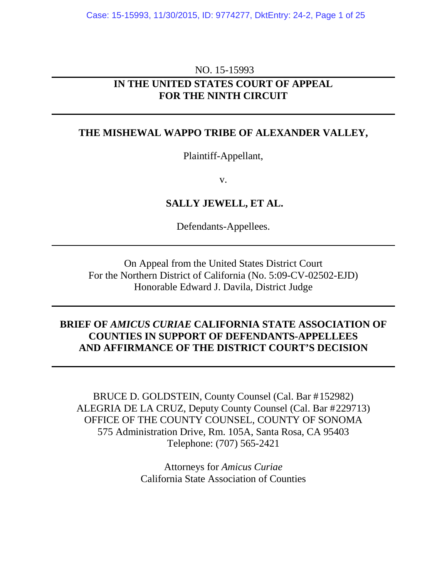#### NO. 15-15993

### **IN THE UNITED STATES COURT OF APPEAL FOR THE NINTH CIRCUIT**

### **THE MISHEWAL WAPPO TRIBE OF ALEXANDER VALLEY,**

Plaintiff-Appellant,

v.

**SALLY JEWELL, ET AL.** 

Defendants-Appellees.

On Appeal from the United States District Court For the Northern District of California (No. 5:09-CV-02502-EJD) Honorable Edward J. Davila, District Judge

### **BRIEF OF** *AMICUS CURIAE* **CALIFORNIA STATE ASSOCIATION OF COUNTIES IN SUPPORT OF DEFENDANTS-APPELLEES AND AFFIRMANCE OF THE DISTRICT COURT'S DECISION**

BRUCE D. GOLDSTEIN, County Counsel (Cal. Bar #152982) ALEGRIA DE LA CRUZ, Deputy County Counsel (Cal. Bar #229713) OFFICE OF THE COUNTY COUNSEL, COUNTY OF SONOMA 575 Administration Drive, Rm. 105A, Santa Rosa, CA 95403 Telephone: (707) 565-2421

> Attorneys for *Amicus Curiae* California State Association of Counties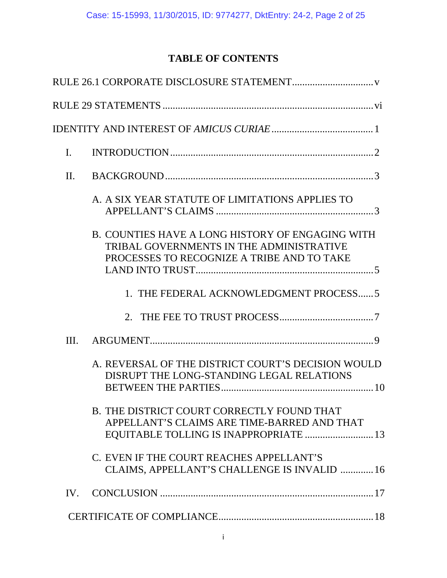# **TABLE OF CONTENTS**

| $\mathbf{I}$ . |                                                                                                                                            |
|----------------|--------------------------------------------------------------------------------------------------------------------------------------------|
| II.            |                                                                                                                                            |
|                | A. A SIX YEAR STATUTE OF LIMITATIONS APPLIES TO                                                                                            |
|                | B. COUNTIES HAVE A LONG HISTORY OF ENGAGING WITH<br>TRIBAL GOVERNMENTS IN THE ADMINISTRATIVE<br>PROCESSES TO RECOGNIZE A TRIBE AND TO TAKE |
|                | 1. THE FEDERAL ACKNOWLEDGMENT PROCESS 5                                                                                                    |
|                |                                                                                                                                            |
| III.           |                                                                                                                                            |
|                | A. REVERSAL OF THE DISTRICT COURT'S DECISION WOULD<br>DISRUPT THE LONG-STANDING LEGAL RELATIONS                                            |
|                | <b>B. THE DISTRICT COURT CORRECTLY FOUND THAT</b><br>APPELLANT'S CLAIMS ARE TIME-BARRED AND THAT<br>EQUITABLE TOLLING IS INAPPROPRIATE  13 |
|                | C. EVEN IF THE COURT REACHES APPELLANT'S<br>CLAIMS, APPELLANT'S CHALLENGE IS INVALID  16                                                   |
| IV.            |                                                                                                                                            |
|                |                                                                                                                                            |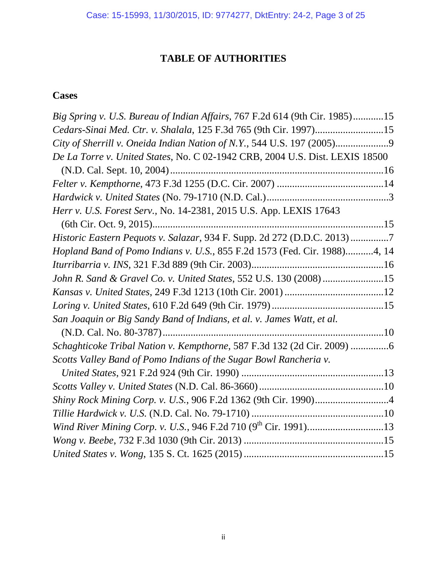# **TABLE OF AUTHORITIES**

# **Cases**

| Big Spring v. U.S. Bureau of Indian Affairs, 767 F.2d 614 (9th Cir. 1985)15  |
|------------------------------------------------------------------------------|
| Cedars-Sinai Med. Ctr. v. Shalala, 125 F.3d 765 (9th Cir. 1997)15            |
| City of Sherrill v. Oneida Indian Nation of N.Y., 544 U.S. 197 (2005)9       |
| De La Torre v. United States, No. C 02-1942 CRB, 2004 U.S. Dist. LEXIS 18500 |
|                                                                              |
|                                                                              |
|                                                                              |
| Herr v. U.S. Forest Serv., No. 14-2381, 2015 U.S. App. LEXIS 17643           |
|                                                                              |
| Historic Eastern Pequots v. Salazar, 934 F. Supp. 2d 272 (D.D.C. 2013)7      |
| Hopland Band of Pomo Indians v. U.S., 855 F.2d 1573 (Fed. Cir. 1988)4, 14    |
|                                                                              |
| John R. Sand & Gravel Co. v. United States, 552 U.S. 130 (2008) 15           |
|                                                                              |
|                                                                              |
| San Joaquin or Big Sandy Band of Indians, et al. v. James Watt, et al.       |
|                                                                              |
| Schaghticoke Tribal Nation v. Kempthorne, 587 F.3d 132 (2d Cir. 2009) 6      |
| Scotts Valley Band of Pomo Indians of the Sugar Bowl Rancheria v.            |
|                                                                              |
|                                                                              |
|                                                                              |
|                                                                              |
|                                                                              |
|                                                                              |
|                                                                              |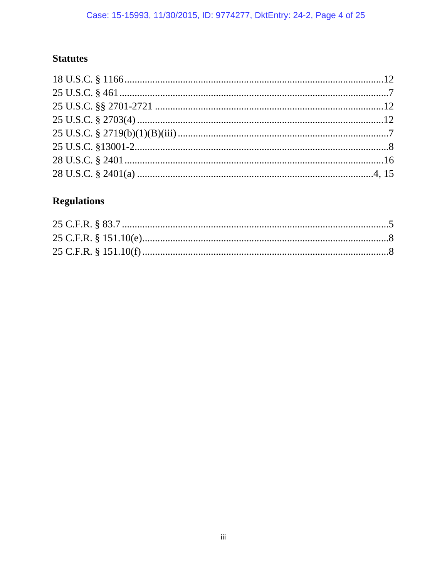# **Statutes**

# **Regulations**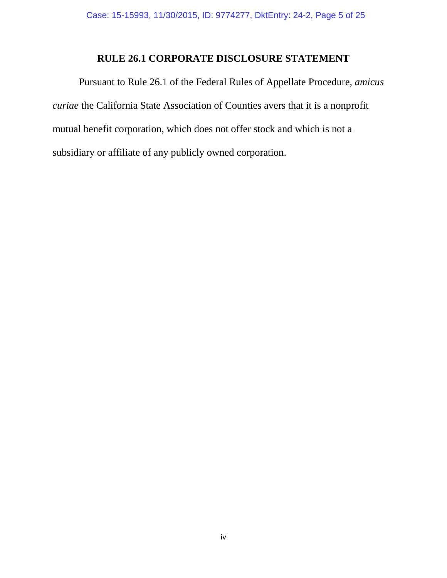# **RULE 26.1 CORPORATE DISCLOSURE STATEMENT**

Pursuant to Rule 26.1 of the Federal Rules of Appellate Procedure, *amicus curiae* the California State Association of Counties avers that it is a nonprofit mutual benefit corporation, which does not offer stock and which is not a subsidiary or affiliate of any publicly owned corporation.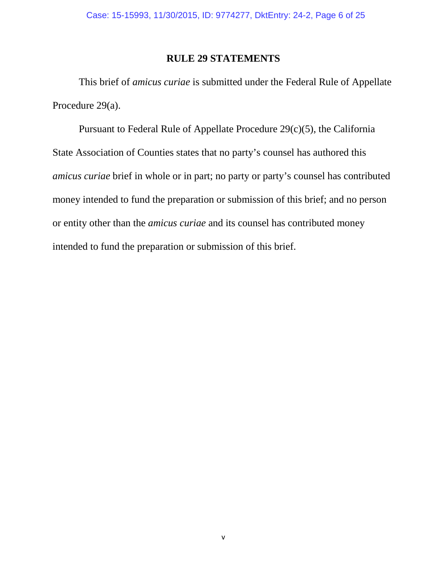### **RULE 29 STATEMENTS**

This brief of *amicus curiae* is submitted under the Federal Rule of Appellate Procedure 29(a).

Pursuant to Federal Rule of Appellate Procedure 29(c)(5), the California State Association of Counties states that no party's counsel has authored this *amicus curiae* brief in whole or in part; no party or party's counsel has contributed money intended to fund the preparation or submission of this brief; and no person or entity other than the *amicus curiae* and its counsel has contributed money intended to fund the preparation or submission of this brief.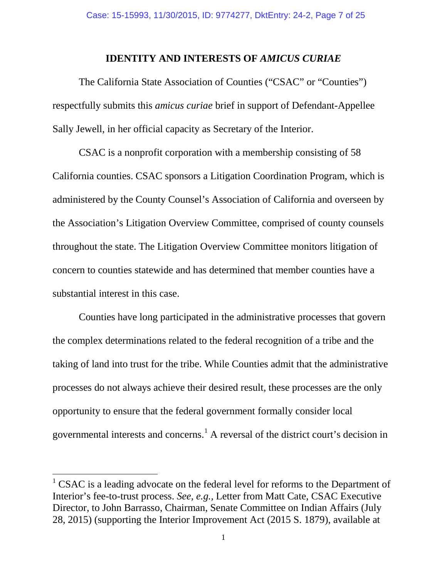### **IDENTITY AND INTERESTS OF** *AMICUS CURIAE*

The California State Association of Counties ("CSAC" or "Counties") respectfully submits this *amicus curiae* brief in support of Defendant-Appellee Sally Jewell, in her official capacity as Secretary of the Interior.

CSAC is a nonprofit corporation with a membership consisting of 58 California counties. CSAC sponsors a Litigation Coordination Program, which is administered by the County Counsel's Association of California and overseen by the Association's Litigation Overview Committee, comprised of county counsels throughout the state. The Litigation Overview Committee monitors litigation of concern to counties statewide and has determined that member counties have a substantial interest in this case.

Counties have long participated in the administrative processes that govern the complex determinations related to the federal recognition of a tribe and the taking of land into trust for the tribe. While Counties admit that the administrative processes do not always achieve their desired result, these processes are the only opportunity to ensure that the federal government formally consider local governmental interests and concerns.[1](#page-6-0) A reversal of the district court's decision in

<span id="page-6-0"></span> $1$  CSAC is a leading advocate on the federal level for reforms to the Department of Interior's fee-to-trust process. *See, e.g.,* Letter from Matt Cate, CSAC Executive Director, to John Barrasso, Chairman, Senate Committee on Indian Affairs (July 28, 2015) (supporting the Interior Improvement Act (2015 S. 1879), available at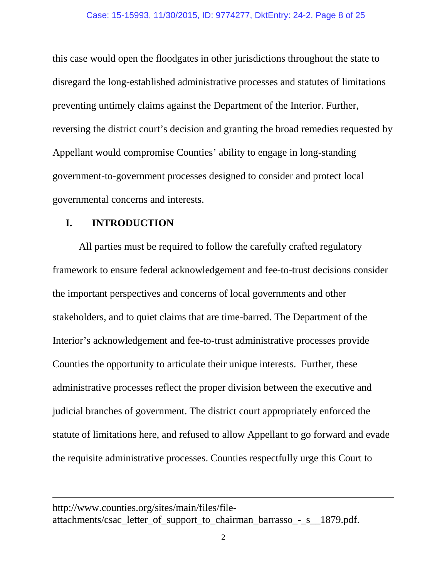this case would open the floodgates in other jurisdictions throughout the state to disregard the long-established administrative processes and statutes of limitations preventing untimely claims against the Department of the Interior. Further, reversing the district court's decision and granting the broad remedies requested by Appellant would compromise Counties' ability to engage in long-standing government-to-government processes designed to consider and protect local governmental concerns and interests.

### **I. INTRODUCTION**

 $\overline{a}$ 

All parties must be required to follow the carefully crafted regulatory framework to ensure federal acknowledgement and fee-to-trust decisions consider the important perspectives and concerns of local governments and other stakeholders, and to quiet claims that are time-barred. The Department of the Interior's acknowledgement and fee-to-trust administrative processes provide Counties the opportunity to articulate their unique interests. Further, these administrative processes reflect the proper division between the executive and judicial branches of government. The district court appropriately enforced the statute of limitations here, and refused to allow Appellant to go forward and evade the requisite administrative processes. Counties respectfully urge this Court to

http://www.counties.org/sites/main/files/fileattachments/csac\_letter\_of\_support\_to\_chairman\_barrasso\_-\_s\_\_1879.pdf.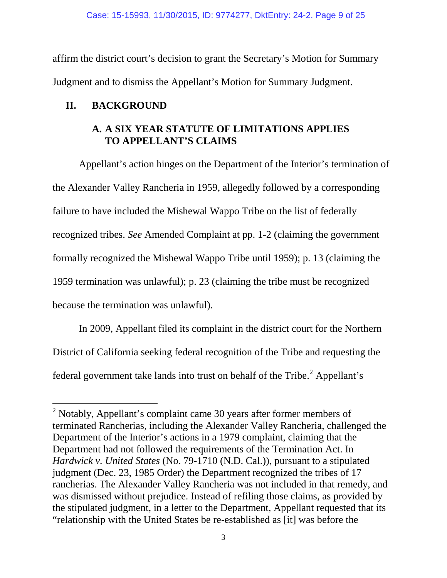affirm the district court's decision to grant the Secretary's Motion for Summary Judgment and to dismiss the Appellant's Motion for Summary Judgment.

# **II. BACKGROUND**

 $\overline{a}$ 

# **A. A SIX YEAR STATUTE OF LIMITATIONS APPLIES TO APPELLANT'S CLAIMS**

Appellant's action hinges on the Department of the Interior's termination of the Alexander Valley Rancheria in 1959, allegedly followed by a corresponding failure to have included the Mishewal Wappo Tribe on the list of federally recognized tribes. *See* Amended Complaint at pp. 1-2 (claiming the government formally recognized the Mishewal Wappo Tribe until 1959); p. 13 (claiming the 1959 termination was unlawful); p. 23 (claiming the tribe must be recognized because the termination was unlawful).

In 2009, Appellant filed its complaint in the district court for the Northern District of California seeking federal recognition of the Tribe and requesting the federal government take lands into trust on behalf of the Tribe. $<sup>2</sup>$  $<sup>2</sup>$  $<sup>2</sup>$  Appellant's</sup>

<span id="page-8-0"></span> $2$  Notably, Appellant's complaint came 30 years after former members of terminated Rancherias, including the Alexander Valley Rancheria, challenged the Department of the Interior's actions in a 1979 complaint, claiming that the Department had not followed the requirements of the Termination Act. In *Hardwick v. United States* (No. 79-1710 (N.D. Cal.)), pursuant to a stipulated judgment (Dec. 23, 1985 Order) the Department recognized the tribes of 17 rancherias. The Alexander Valley Rancheria was not included in that remedy, and was dismissed without prejudice. Instead of refiling those claims, as provided by the stipulated judgment, in a letter to the Department, Appellant requested that its "relationship with the United States be re-established as [it] was before the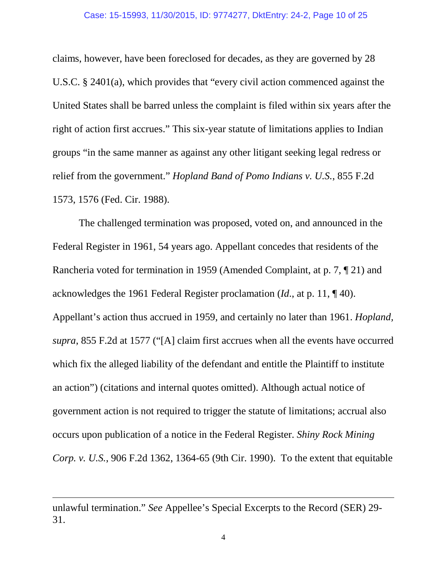claims, however, have been foreclosed for decades, as they are governed by 28 U.S.C. § 2401(a), which provides that "every civil action commenced against the United States shall be barred unless the complaint is filed within six years after the right of action first accrues." This six-year statute of limitations applies to Indian groups "in the same manner as against any other litigant seeking legal redress or relief from the government." *Hopland Band of Pomo Indians v. U.S.*, 855 F.2d 1573, 1576 (Fed. Cir. 1988).

The challenged termination was proposed, voted on, and announced in the Federal Register in 1961, 54 years ago. Appellant concedes that residents of the Rancheria voted for termination in 1959 (Amended Complaint, at p. 7, ¶ 21) and acknowledges the 1961 Federal Register proclamation (*Id*., at p. 11, ¶ 40). Appellant's action thus accrued in 1959, and certainly no later than 1961. *Hopland, supra*, 855 F.2d at 1577 ("[A] claim first accrues when all the events have occurred which fix the alleged liability of the defendant and entitle the Plaintiff to institute an action") (citations and internal quotes omitted). Although actual notice of government action is not required to trigger the statute of limitations; accrual also occurs upon publication of a notice in the Federal Register. *Shiny Rock Mining Corp. v. U.S.*, 906 F.2d 1362, 1364-65 (9th Cir. 1990). To the extent that equitable

unlawful termination." *See* Appellee's Special Excerpts to the Record (SER) 29- 31.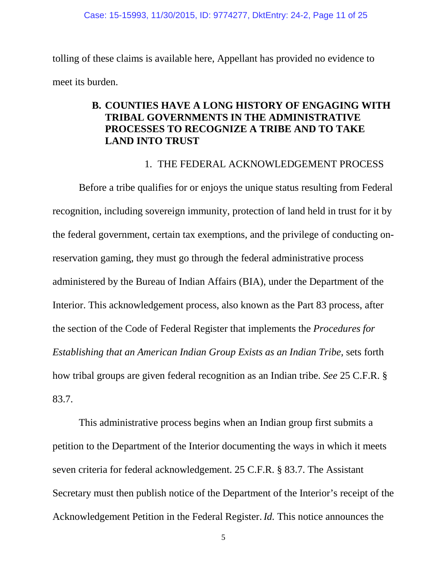tolling of these claims is available here, Appellant has provided no evidence to meet its burden.

## **B. COUNTIES HAVE A LONG HISTORY OF ENGAGING WITH TRIBAL GOVERNMENTS IN THE ADMINISTRATIVE PROCESSES TO RECOGNIZE A TRIBE AND TO TAKE LAND INTO TRUST**

### 1. THE FEDERAL ACKNOWLEDGEMENT PROCESS

Before a tribe qualifies for or enjoys the unique status resulting from Federal recognition, including sovereign immunity, protection of land held in trust for it by the federal government, certain tax exemptions, and the privilege of conducting onreservation gaming, they must go through the federal administrative process administered by the Bureau of Indian Affairs (BIA), under the Department of the Interior. This acknowledgement process, also known as the Part 83 process, after the section of the Code of Federal Register that implements the *Procedures for Establishing that an American Indian Group Exists as an Indian Tribe,* sets forth how tribal groups are given federal recognition as an Indian tribe. *See* 25 C.F.R. § 83.7.

This administrative process begins when an Indian group first submits a petition to the Department of the Interior documenting the ways in which it meets seven criteria for federal acknowledgement. 25 C.F.R. § 83.7. The Assistant Secretary must then publish notice of the Department of the Interior's receipt of the Acknowledgement Petition in the Federal Register.*Id.* This notice announces the

5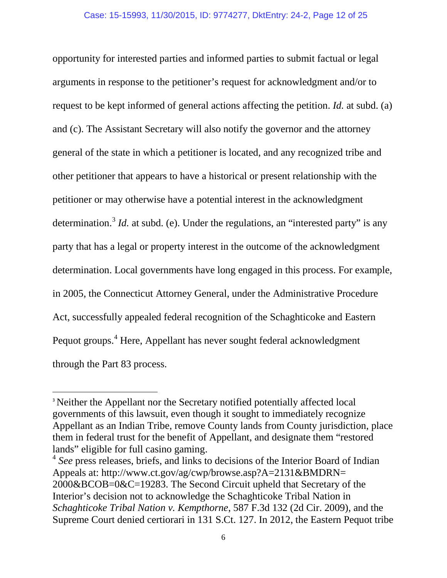opportunity for interested parties and informed parties to submit factual or legal arguments in response to the petitioner's request for acknowledgment and/or to request to be kept informed of general actions affecting the petition. *Id.* at subd. (a) and (c). The Assistant Secretary will also notify the governor and the attorney general of the state in which a petitioner is located, and any recognized tribe and other petitioner that appears to have a historical or present relationship with the petitioner or may otherwise have a potential interest in the acknowledgment determination.<sup>[3](#page-11-0)</sup> *Id.* at subd. (e). Under the regulations, an "interested party" is any party that has a legal or property interest in the outcome of the acknowledgment determination. Local governments have long engaged in this process. For example, in 2005, the Connecticut Attorney General, under the Administrative Procedure Act, successfully appealed federal recognition of the Schaghticoke and Eastern Pequot groups.<sup>[4](#page-11-1)</sup> Here, Appellant has never sought federal acknowledgment through the Part 83 process.

<span id="page-11-0"></span><sup>&</sup>lt;sup>3</sup> Neither the Appellant nor the Secretary notified potentially affected local governments of this lawsuit, even though it sought to immediately recognize Appellant as an Indian Tribe, remove County lands from County jurisdiction, place them in federal trust for the benefit of Appellant, and designate them "restored lands" eligible for full casino gaming.

<span id="page-11-1"></span><sup>4</sup> *See* press releases, briefs, and links to decisions of the Interior Board of Indian Appeals at: http://www.ct.gov/ag/cwp/browse.asp?A=2131&BMDRN= 2000&BCOB=0&C=19283. The Second Circuit upheld that Secretary of the Interior's decision not to acknowledge the Schaghticoke Tribal Nation in *Schaghticoke Tribal Nation v. Kempthorne*, 587 F.3d 132 (2d Cir. 2009), and the Supreme Court denied certiorari in 131 S.Ct. 127. In 2012, the Eastern Pequot tribe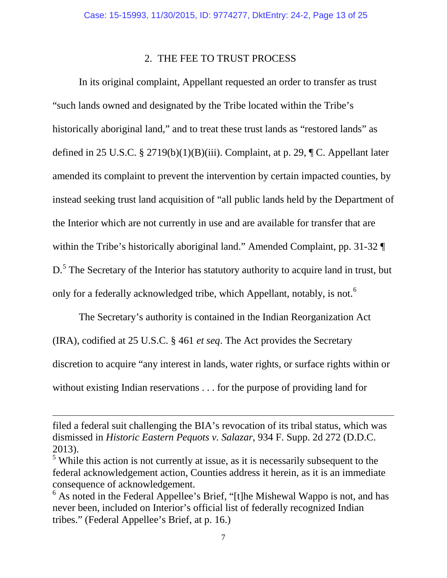#### 2. THE FEE TO TRUST PROCESS

In its original complaint, Appellant requested an order to transfer as trust "such lands owned and designated by the Tribe located within the Tribe's historically aboriginal land," and to treat these trust lands as "restored lands" as defined in 25 U.S.C. § 2719(b)(1)(B)(iii). Complaint, at p. 29,  $\P C$ . Appellant later amended its complaint to prevent the intervention by certain impacted counties, by instead seeking trust land acquisition of "all public lands held by the Department of the Interior which are not currently in use and are available for transfer that are within the Tribe's historically aboriginal land." Amended Complaint, pp. 31-32 D.<sup>[5](#page-12-0)</sup> The Secretary of the Interior has statutory authority to acquire land in trust, but only for a federally acknowledged tribe, which Appellant, notably, is not.<sup>[6](#page-12-1)</sup>

The Secretary's authority is contained in the Indian Reorganization Act (IRA), codified at 25 U.S.C. § 461 *et seq*. The Act provides the Secretary discretion to acquire "any interest in lands, water rights, or surface rights within or without existing Indian reservations . . . for the purpose of providing land for

filed a federal suit challenging the BIA's revocation of its tribal status, which was dismissed in *Historic Eastern Pequots v. Salazar*, 934 F. Supp. 2d 272 (D.D.C.

<span id="page-12-0"></span><sup>2013).&</sup>lt;br><sup>5</sup> While this action is not currently at issue, as it is necessarily subsequent to the federal acknowledgement action, Counties address it herein, as it is an immediate consequence of acknowledgement.

<span id="page-12-1"></span><sup>&</sup>lt;sup>6</sup> As noted in the Federal Appellee's Brief, "[t]he Mishewal Wappo is not, and has never been, included on Interior's official list of federally recognized Indian tribes." (Federal Appellee's Brief, at p. 16.)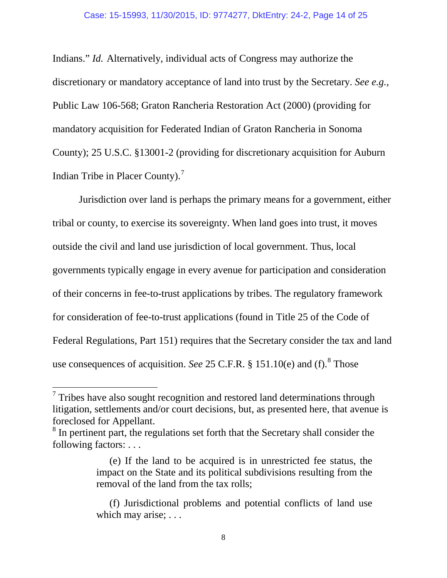Indians." *Id.* Alternatively, individual acts of Congress may authorize the discretionary or mandatory acceptance of land into trust by the Secretary. *See e.g.,*  Public Law 106-568; Graton Rancheria Restoration Act (2000) (providing for mandatory acquisition for Federated Indian of Graton Rancheria in Sonoma County); 25 U.S.C. §13001-2 (providing for discretionary acquisition for Auburn Indian Tribe in Placer County).[7](#page-13-0)

Jurisdiction over land is perhaps the primary means for a government, either tribal or county, to exercise its sovereignty. When land goes into trust, it moves outside the civil and land use jurisdiction of local government. Thus, local governments typically engage in every avenue for participation and consideration of their concerns in fee-to-trust applications by tribes. The regulatory framework for consideration of fee-to-trust applications (found in Title 25 of the Code of Federal Regulations, Part 151) requires that the Secretary consider the tax and land use consequences of acquisition. *See* 25 C.F.R. § 151.10(e) and (f). [8](#page-13-1) Those

<span id="page-13-0"></span> $\frac{7}{1}$  Tribes have also sought recognition and restored land determinations through litigation, settlements and/or court decisions, but, as presented here, that avenue is foreclosed for Appellant.

<span id="page-13-1"></span><sup>&</sup>lt;sup>8</sup> In pertinent part, the regulations set forth that the Secretary shall consider the following factors: . . .

<sup>(</sup>e) If the land to be acquired is in unrestricted fee status, the impact on the State and its political subdivisions resulting from the removal of the land from the tax rolls;

<sup>(</sup>f) Jurisdictional problems and potential conflicts of land use which may arise; ...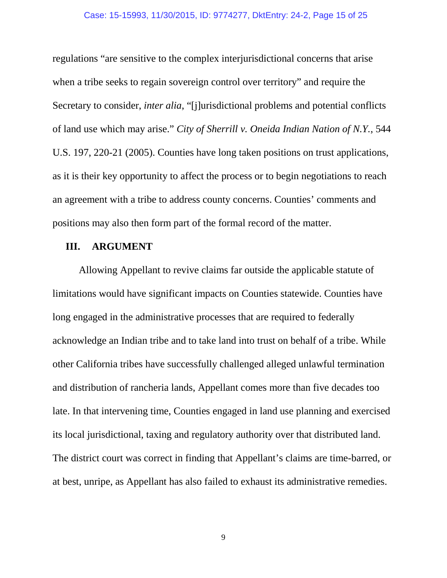regulations "are sensitive to the complex interjurisdictional concerns that arise when a tribe seeks to regain sovereign control over territory" and require the Secretary to consider, *inter alia*, "[j]urisdictional problems and potential conflicts of land use which may arise." *City of Sherrill v. Oneida Indian Nation of N.Y.*, 544 U.S. 197, 220-21 (2005). Counties have long taken positions on trust applications, as it is their key opportunity to affect the process or to begin negotiations to reach an agreement with a tribe to address county concerns. Counties' comments and positions may also then form part of the formal record of the matter.

### **III. ARGUMENT**

Allowing Appellant to revive claims far outside the applicable statute of limitations would have significant impacts on Counties statewide. Counties have long engaged in the administrative processes that are required to federally acknowledge an Indian tribe and to take land into trust on behalf of a tribe. While other California tribes have successfully challenged alleged unlawful termination and distribution of rancheria lands, Appellant comes more than five decades too late. In that intervening time, Counties engaged in land use planning and exercised its local jurisdictional, taxing and regulatory authority over that distributed land. The district court was correct in finding that Appellant's claims are time-barred, or at best, unripe, as Appellant has also failed to exhaust its administrative remedies.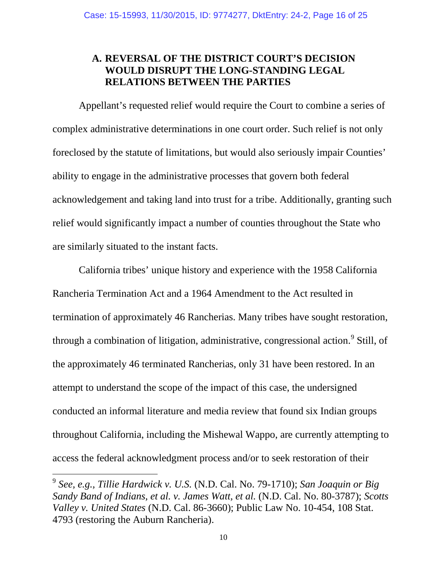### **A. REVERSAL OF THE DISTRICT COURT'S DECISION WOULD DISRUPT THE LONG-STANDING LEGAL RELATIONS BETWEEN THE PARTIES**

Appellant's requested relief would require the Court to combine a series of complex administrative determinations in one court order. Such relief is not only foreclosed by the statute of limitations, but would also seriously impair Counties' ability to engage in the administrative processes that govern both federal acknowledgement and taking land into trust for a tribe. Additionally, granting such relief would significantly impact a number of counties throughout the State who are similarly situated to the instant facts.

California tribes' unique history and experience with the 1958 California Rancheria Termination Act and a 1964 Amendment to the Act resulted in termination of approximately 46 Rancherias. Many tribes have sought restoration, through a combination of litigation, administrative, congressional action.<sup>[9](#page-15-0)</sup> Still, of the approximately 46 terminated Rancherias, only 31 have been restored. In an attempt to understand the scope of the impact of this case, the undersigned conducted an informal literature and media review that found six Indian groups throughout California, including the Mishewal Wappo, are currently attempting to access the federal acknowledgment process and/or to seek restoration of their

<span id="page-15-0"></span><sup>9</sup> *See, e.g., Tillie Hardwick v. U.S.* (N.D. Cal. No. 79-1710); *San Joaquin or Big Sandy Band of Indians, et al. v. James Watt, et al.* (N.D. Cal. No. 80-3787); *Scotts Valley v. United States* (N.D. Cal. 86-3660); Public Law No. 10-454, 108 Stat. 4793 (restoring the Auburn Rancheria).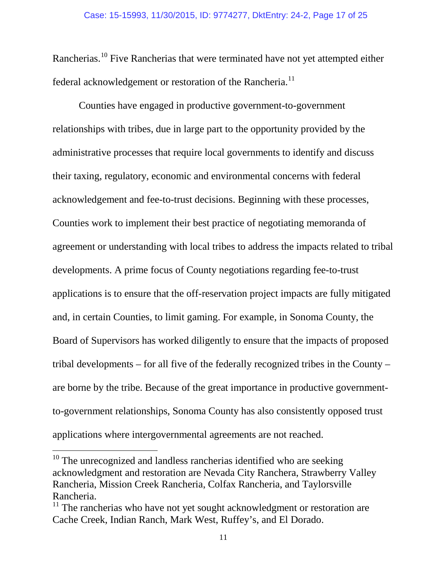Rancherias.[10](#page-16-0) Five Rancherias that were terminated have not yet attempted either federal acknowledgement or restoration of the Rancheria.<sup>[11](#page-16-1)</sup>

Counties have engaged in productive government-to-government relationships with tribes, due in large part to the opportunity provided by the administrative processes that require local governments to identify and discuss their taxing, regulatory, economic and environmental concerns with federal acknowledgement and fee-to-trust decisions. Beginning with these processes, Counties work to implement their best practice of negotiating memoranda of agreement or understanding with local tribes to address the impacts related to tribal developments. A prime focus of County negotiations regarding fee-to-trust applications is to ensure that the off-reservation project impacts are fully mitigated and, in certain Counties, to limit gaming. For example, in Sonoma County, the Board of Supervisors has worked diligently to ensure that the impacts of proposed tribal developments – for all five of the federally recognized tribes in the County – are borne by the tribe. Because of the great importance in productive governmentto-government relationships, Sonoma County has also consistently opposed trust applications where intergovernmental agreements are not reached.

<span id="page-16-0"></span> $10$  The unrecognized and landless rancherias identified who are seeking acknowledgment and restoration are Nevada City Ranchera, Strawberry Valley Rancheria, Mission Creek Rancheria, Colfax Rancheria, and Taylorsville Rancheria.

<span id="page-16-1"></span> $11$  The rancherias who have not yet sought acknowledgment or restoration are Cache Creek, Indian Ranch, Mark West, Ruffey's, and El Dorado.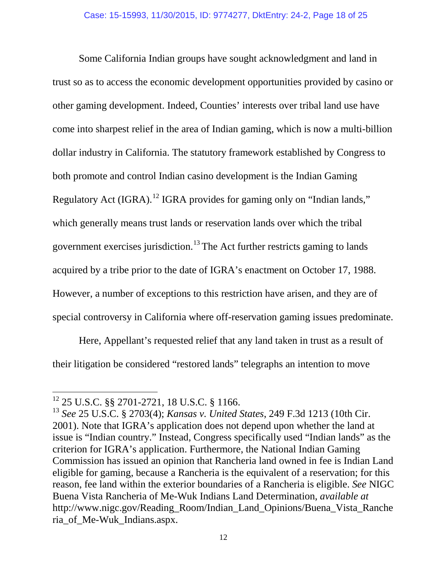Some California Indian groups have sought acknowledgment and land in trust so as to access the economic development opportunities provided by casino or other gaming development. Indeed, Counties' interests over tribal land use have come into sharpest relief in the area of Indian gaming, which is now a multi-billion dollar industry in California. The statutory framework established by Congress to both promote and control Indian casino development is the Indian Gaming Regulatory Act (IGRA).<sup>[12](#page-17-0)</sup> IGRA provides for gaming only on "Indian lands," which generally means trust lands or reservation lands over which the tribal government exercises jurisdiction.<sup>[13](#page-17-1)</sup> The Act further restricts gaming to lands acquired by a tribe prior to the date of IGRA's enactment on October 17, 1988. However, a number of exceptions to this restriction have arisen, and they are of special controversy in California where off-reservation gaming issues predominate.

Here, Appellant's requested relief that any land taken in trust as a result of their litigation be considered "restored lands" telegraphs an intention to move

<span id="page-17-1"></span><span id="page-17-0"></span><sup>&</sup>lt;sup>12</sup> 25 U.S.C. §§ 2701-2721, 18 U.S.C. § 1166.<br><sup>13</sup> *See* 25 U.S.C. § 2703(4); *Kansas v. United States*, 249 F.3d 1213 (10th Cir. 2001). Note that IGRA's application does not depend upon whether the land at issue is "Indian country." Instead, Congress specifically used "Indian lands" as the criterion for IGRA's application. Furthermore, the National Indian Gaming Commission has issued an opinion that Rancheria land owned in fee is Indian Land eligible for gaming, because a Rancheria is the equivalent of a reservation; for this reason, fee land within the exterior boundaries of a Rancheria is eligible. *See* NIGC Buena Vista Rancheria of Me-Wuk Indians Land Determination, *available at* http://www.nigc.gov/Reading\_Room/Indian\_Land\_Opinions/Buena\_Vista\_Ranche ria\_of\_Me-Wuk\_Indians.aspx.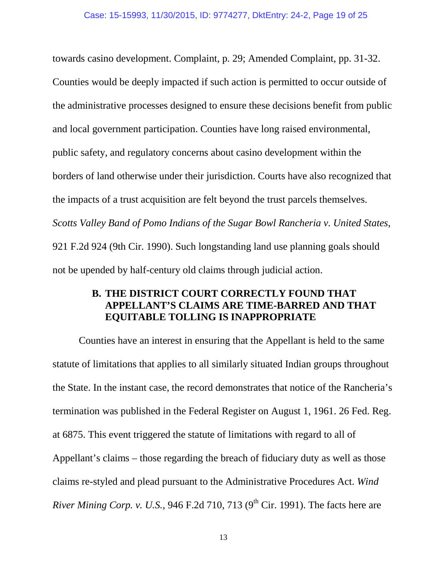towards casino development. Complaint, p. 29; Amended Complaint, pp. 31-32. Counties would be deeply impacted if such action is permitted to occur outside of the administrative processes designed to ensure these decisions benefit from public and local government participation. Counties have long raised environmental, public safety, and regulatory concerns about casino development within the borders of land otherwise under their jurisdiction. Courts have also recognized that the impacts of a trust acquisition are felt beyond the trust parcels themselves. *Scotts Valley Band of Pomo Indians of the Sugar Bowl Rancheria v. United States*, 921 F.2d 924 (9th Cir. 1990). Such longstanding land use planning goals should not be upended by half-century old claims through judicial action.

### **B. THE DISTRICT COURT CORRECTLY FOUND THAT APPELLANT'S CLAIMS ARE TIME-BARRED AND THAT EQUITABLE TOLLING IS INAPPROPRIATE**

Counties have an interest in ensuring that the Appellant is held to the same statute of limitations that applies to all similarly situated Indian groups throughout the State. In the instant case, the record demonstrates that notice of the Rancheria's termination was published in the Federal Register on August 1, 1961. 26 Fed. Reg. at 6875. This event triggered the statute of limitations with regard to all of Appellant's claims – those regarding the breach of fiduciary duty as well as those claims re-styled and plead pursuant to the Administrative Procedures Act. *Wind River Mining Corp. v. U.S.*, 946 F.2d 710, 713 (9<sup>th</sup> Cir. 1991). The facts here are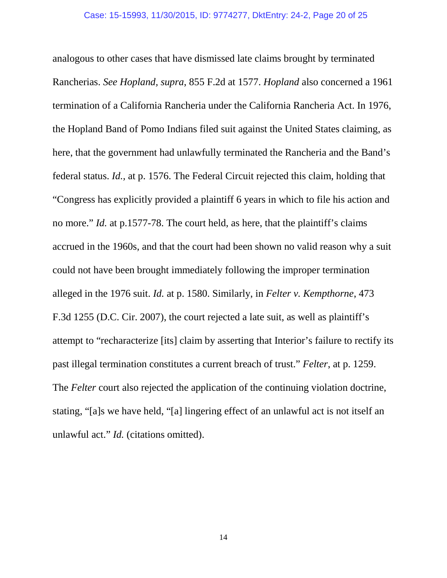analogous to other cases that have dismissed late claims brought by terminated Rancherias. *See Hopland, supra*, 855 F.2d at 1577. *Hopland* also concerned a 1961 termination of a California Rancheria under the California Rancheria Act. In 1976, the Hopland Band of Pomo Indians filed suit against the United States claiming, as here, that the government had unlawfully terminated the Rancheria and the Band's federal status. *Id.,* at p. 1576. The Federal Circuit rejected this claim, holding that "Congress has explicitly provided a plaintiff 6 years in which to file his action and no more." *Id.* at p.1577-78. The court held, as here, that the plaintiff's claims accrued in the 1960s, and that the court had been shown no valid reason why a suit could not have been brought immediately following the improper termination alleged in the 1976 suit. *Id.* at p. 1580. Similarly, in *Felter v. Kempthorne*, 473 F.3d 1255 (D.C. Cir. 2007), the court rejected a late suit, as well as plaintiff's attempt to "recharacterize [its] claim by asserting that Interior's failure to rectify its past illegal termination constitutes a current breach of trust." *Felter*, at p. 1259. The *Felter* court also rejected the application of the continuing violation doctrine, stating, "[a]s we have held, "[a] lingering effect of an unlawful act is not itself an unlawful act." *Id.* (citations omitted).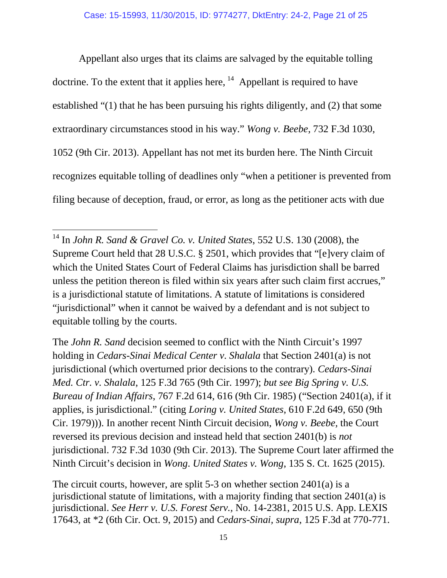Appellant also urges that its claims are salvaged by the equitable tolling doctrine. To the extent that it applies here,  $14$  Appellant is required to have established "(1) that he has been pursuing his rights diligently, and (2) that some extraordinary circumstances stood in his way." *Wong v. Beebe*, 732 F.3d 1030, 1052 (9th Cir. 2013). Appellant has not met its burden here. The Ninth Circuit recognizes equitable tolling of deadlines only "when a petitioner is prevented from filing because of deception, fraud, or error, as long as the petitioner acts with due

 $\overline{a}$ 

The *John R. Sand* decision seemed to conflict with the Ninth Circuit's 1997 holding in *Cedars-Sinai Medical Center v. Shalala* that Section 2401(a) is not jurisdictional (which overturned prior decisions to the contrary). *Cedars-Sinai Med. Ctr. v. Shalala*, 125 F.3d 765 (9th Cir. 1997); *but see Big Spring v. U.S. Bureau of Indian Affairs*, 767 F.2d 614, 616 (9th Cir. 1985) ("Section 2401(a), if it applies, is jurisdictional." (citing *Loring v. United States*, 610 F.2d 649, 650 (9th Cir. 1979))). In another recent Ninth Circuit decision, *Wong v. Beebe,* the Court reversed its previous decision and instead held that section 2401(b) is *not* jurisdictional. 732 F.3d 1030 (9th Cir. 2013). The Supreme Court later affirmed the Ninth Circuit's decision in *Wong*. *United States v. Wong*, 135 S. Ct. 1625 (2015).

The circuit courts, however, are split 5-3 on whether section 2401(a) is a jurisdictional statute of limitations, with a majority finding that section 2401(a) is jurisdictional. *See Herr v. U.S. Forest Serv.,* No. 14-2381, 2015 U.S. App. LEXIS 17643, at \*2 (6th Cir. Oct. 9, 2015) and *Cedars-Sinai, supra*, 125 F.3d at 770-771.

<span id="page-20-0"></span><sup>14</sup> In *John R. Sand & Gravel Co. v. United States*, 552 U.S. 130 (2008), the Supreme Court held that 28 U.S.C. § 2501, which provides that "[e]very claim of which the United States Court of Federal Claims has jurisdiction shall be barred unless the petition thereon is filed within six years after such claim first accrues," is a jurisdictional statute of limitations. A statute of limitations is considered "jurisdictional" when it cannot be waived by a defendant and is not subject to equitable tolling by the courts.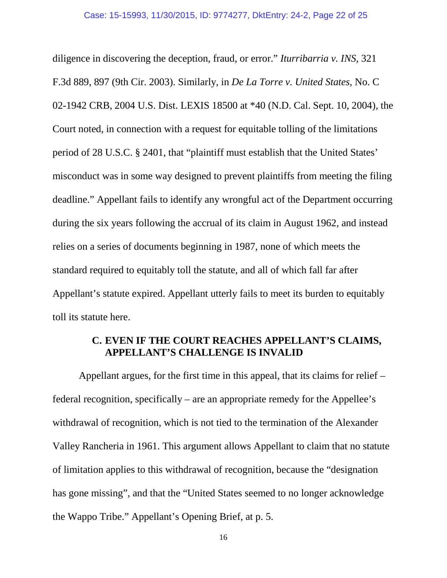diligence in discovering the deception, fraud, or error." *Iturribarria v. INS*, 321 F.3d 889, 897 (9th Cir. 2003). Similarly, in *De La Torre v. United States*, No. C 02-1942 CRB, 2004 U.S. Dist. LEXIS 18500 at \*40 (N.D. Cal. Sept. 10, 2004), the Court noted, in connection with a request for equitable tolling of the limitations period of 28 U.S.C. § 2401, that "plaintiff must establish that the United States' misconduct was in some way designed to prevent plaintiffs from meeting the filing deadline." Appellant fails to identify any wrongful act of the Department occurring during the six years following the accrual of its claim in August 1962, and instead relies on a series of documents beginning in 1987, none of which meets the standard required to equitably toll the statute, and all of which fall far after Appellant's statute expired. Appellant utterly fails to meet its burden to equitably toll its statute here.

### **C. EVEN IF THE COURT REACHES APPELLANT'S CLAIMS, APPELLANT'S CHALLENGE IS INVALID**

Appellant argues, for the first time in this appeal, that its claims for relief – federal recognition, specifically – are an appropriate remedy for the Appellee's withdrawal of recognition, which is not tied to the termination of the Alexander Valley Rancheria in 1961. This argument allows Appellant to claim that no statute of limitation applies to this withdrawal of recognition, because the "designation has gone missing", and that the "United States seemed to no longer acknowledge the Wappo Tribe." Appellant's Opening Brief, at p. 5.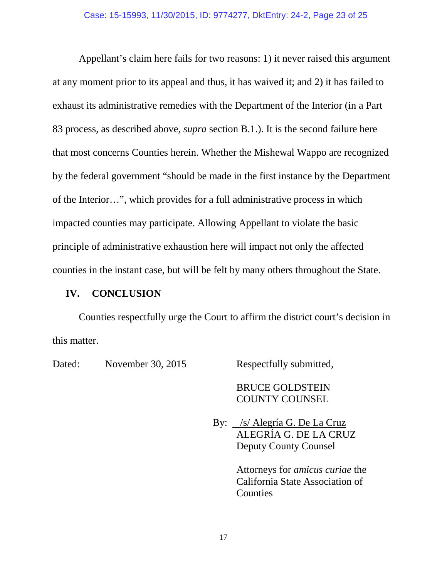Appellant's claim here fails for two reasons: 1) it never raised this argument at any moment prior to its appeal and thus, it has waived it; and 2) it has failed to exhaust its administrative remedies with the Department of the Interior (in a Part 83 process, as described above, *supra* section B.1.). It is the second failure here that most concerns Counties herein. Whether the Mishewal Wappo are recognized by the federal government "should be made in the first instance by the Department of the Interior…", which provides for a full administrative process in which impacted counties may participate. Allowing Appellant to violate the basic principle of administrative exhaustion here will impact not only the affected counties in the instant case, but will be felt by many others throughout the State.

### **IV. CONCLUSION**

Counties respectfully urge the Court to affirm the district court's decision in this matter.

Dated: November 30, 2015 Respectfully submitted,

BRUCE GOLDSTEIN COUNTY COUNSEL

By: /s/ Alegría G. De La Cruz ALEGRÍA G. DE LA CRUZ Deputy County Counsel

> Attorneys for *amicus curiae* the California State Association of Counties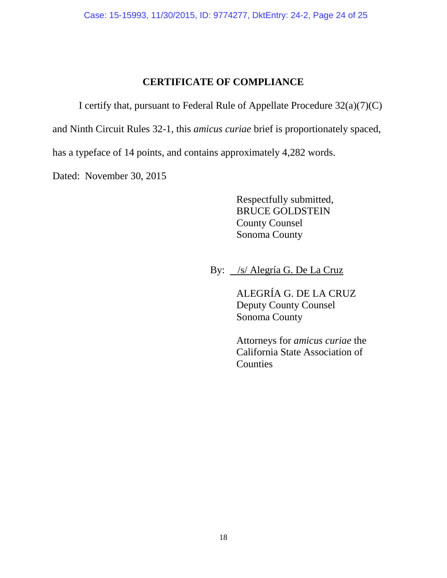## **CERTIFICATE OF COMPLIANCE**

I certify that, pursuant to Federal Rule of Appellate Procedure 32(a)(7)(C)

and Ninth Circuit Rules 32-1, this *amicus curiae* brief is proportionately spaced,

has a typeface of 14 points, and contains approximately 4,282 words.

Dated: November 30, 2015

Respectfully submitted, BRUCE GOLDSTEIN County Counsel Sonoma County

By: /s/ Alegría G. De La Cruz

ALEGRÍA G. DE LA CRUZ Deputy County Counsel Sonoma County

Attorneys for *amicus curiae* the California State Association of **Counties**